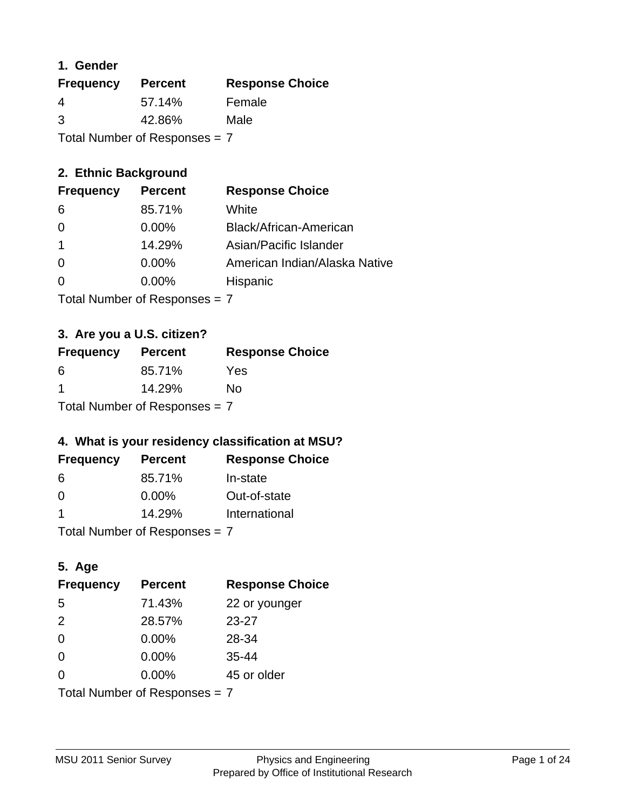### **1. Gender**

| <b>Frequency</b>                | <b>Percent</b> | <b>Response Choice</b> |
|---------------------------------|----------------|------------------------|
| 4                               | 57.14%         | Female                 |
| 3                               | 42.86%         | Male                   |
| Total Number of Responses = $7$ |                |                        |

### **2. Ethnic Background**

| American Indian/Alaska Native |
|-------------------------------|
|                               |
|                               |

Total Number of Responses = 7

## **3. Are you a U.S. citizen?**

| <b>Frequency</b>                | <b>Percent</b> | <b>Response Choice</b> |
|---------------------------------|----------------|------------------------|
| 6                               | 85.71%         | Yes                    |
| -1                              | 14.29%         | Nο                     |
| Total Number of Responses $= 7$ |                |                        |

## **4. What is your residency classification at MSU?**

| <b>Frequency</b> | <b>Percent</b> | <b>Response Choice</b> |
|------------------|----------------|------------------------|
| 6                | 85.71%         | In-state               |
| -0               | $0.00\%$       | Out-of-state           |
| -1               | 14.29%         | International          |
|                  |                |                        |

Total Number of Responses = 7

## **5. Age**

| <b>Frequency</b>                | <b>Percent</b> | <b>Response Choice</b> |
|---------------------------------|----------------|------------------------|
| 5                               | 71.43%         | 22 or younger          |
| 2                               | 28.57%         | $23 - 27$              |
| $\Omega$                        | 0.00%          | 28-34                  |
| $\Omega$                        | 0.00%          | $35 - 44$              |
| $\Omega$                        | 0.00%          | 45 or older            |
| Total Number of Responses = $7$ |                |                        |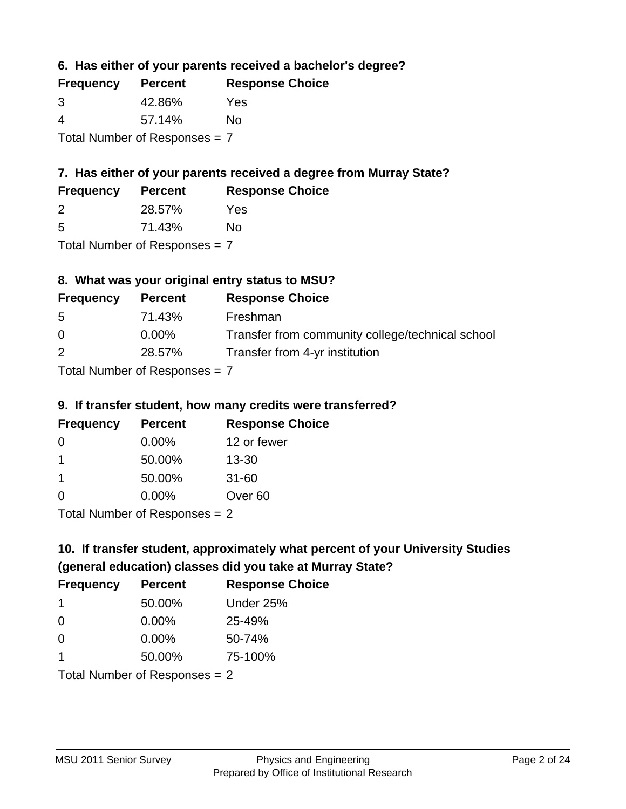**6. Has either of your parents received a bachelor's degree?**

| <b>Frequency</b>              | <b>Percent</b> | <b>Response Choice</b> |
|-------------------------------|----------------|------------------------|
| 3                             | 42.86%         | Yes                    |
| 4                             | 57.14%         | Nο                     |
| Total Number of Responses = 7 |                |                        |

## **7. Has either of your parents received a degree from Murray State?**

| <b>Frequency</b> | <b>Percent</b> | <b>Response Choice</b> |
|------------------|----------------|------------------------|
|                  | 28.57%         | Yes                    |

| 5 | 71.43% | No |
|---|--------|----|
|   |        |    |

Total Number of Responses = 7

## **8. What was your original entry status to MSU?**

| <b>Frequency</b> | <b>Percent</b>             | <b>Response Choice</b>                           |
|------------------|----------------------------|--------------------------------------------------|
| -5               | 71.43%                     | Freshman                                         |
| $\Omega$         | $0.00\%$                   | Transfer from community college/technical school |
| 2                | 28.57%                     | Transfer from 4-yr institution                   |
|                  | Tatal Number of Desperance |                                                  |

Total Number of Responses = 7

### **9. If transfer student, how many credits were transferred?**

| <b>Frequency</b>               | <b>Percent</b> | <b>Response Choice</b> |
|--------------------------------|----------------|------------------------|
| -0                             | $0.00\%$       | 12 or fewer            |
|                                | 50.00%         | $13 - 30$              |
| 1                              | 50.00%         | $31 - 60$              |
| $\Omega$                       | $0.00\%$       | Over <sub>60</sub>     |
| $Total Number of Denances = 2$ |                |                        |

Total Number of Responses = 2

# **10. If transfer student, approximately what percent of your University Studies (general education) classes did you take at Murray State?**

| <b>Frequency</b>                | <b>Percent</b> | <b>Response Choice</b> |
|---------------------------------|----------------|------------------------|
| -1                              | 50.00%         | Under 25%              |
| $\overline{0}$                  | $0.00\%$       | 25-49%                 |
| $\Omega$                        | $0.00\%$       | 50-74%                 |
| 1                               | 50.00%         | 75-100%                |
| Total Number of Responses $= 2$ |                |                        |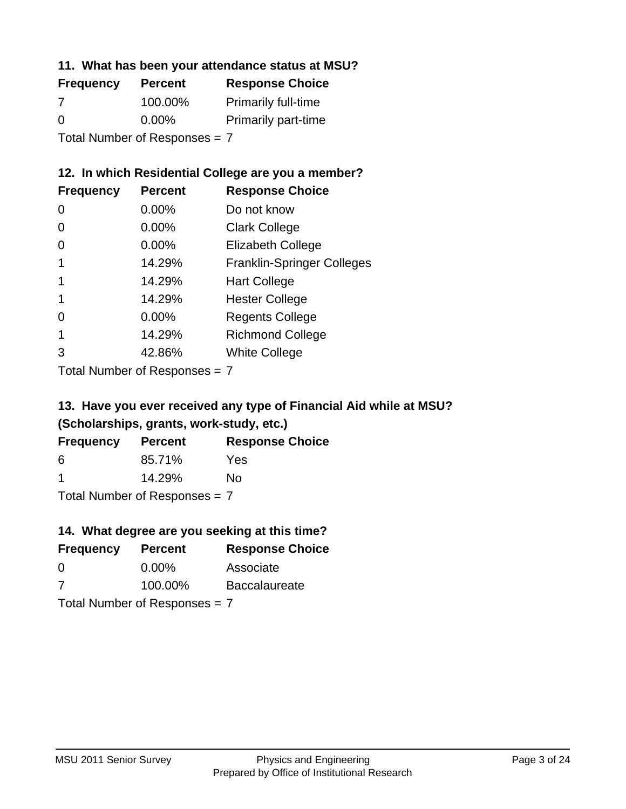### **11. What has been your attendance status at MSU?**

| <b>Frequency</b>              | <b>Percent</b> | <b>Response Choice</b>     |
|-------------------------------|----------------|----------------------------|
| 7                             | 100.00%        | <b>Primarily full-time</b> |
| $\Omega$                      | $0.00\%$       | <b>Primarily part-time</b> |
| Total Number of Responses = 7 |                |                            |

### **12. In which Residential College are you a member?**

| <b>Frequency</b> | <b>Percent</b> | <b>Response Choice</b>            |
|------------------|----------------|-----------------------------------|
| 0                | $0.00\%$       | Do not know                       |
| 0                | 0.00%          | <b>Clark College</b>              |
| 0                | 0.00%          | <b>Elizabeth College</b>          |
|                  | 14.29%         | <b>Franklin-Springer Colleges</b> |
|                  | 14.29%         | <b>Hart College</b>               |
|                  | 14.29%         | <b>Hester College</b>             |
| 0                | 0.00%          | <b>Regents College</b>            |
|                  | 14.29%         | <b>Richmond College</b>           |
| 3                | 42.86%         | <b>White College</b>              |

Total Number of Responses = 7

## **13. Have you ever received any type of Financial Aid while at MSU? (Scholarships, grants, work-study, etc.)**

| <b>Frequency</b>     | <b>Percent</b>                  | <b>Response Choice</b> |
|----------------------|---------------------------------|------------------------|
| 6                    | 85.71%                          | <b>Yes</b>             |
| $\blacktriangleleft$ | 14.29%                          | Nο                     |
|                      | Total Number of Responses $= 7$ |                        |

## **14. What degree are you seeking at this time?**

| <b>Frequency</b> | <b>Percent</b>                  | <b>Response Choice</b> |
|------------------|---------------------------------|------------------------|
| 0                | $0.00\%$                        | Associate              |
| 7                | 100.00%                         | <b>Baccalaureate</b>   |
|                  | Total Number of Responses $= 7$ |                        |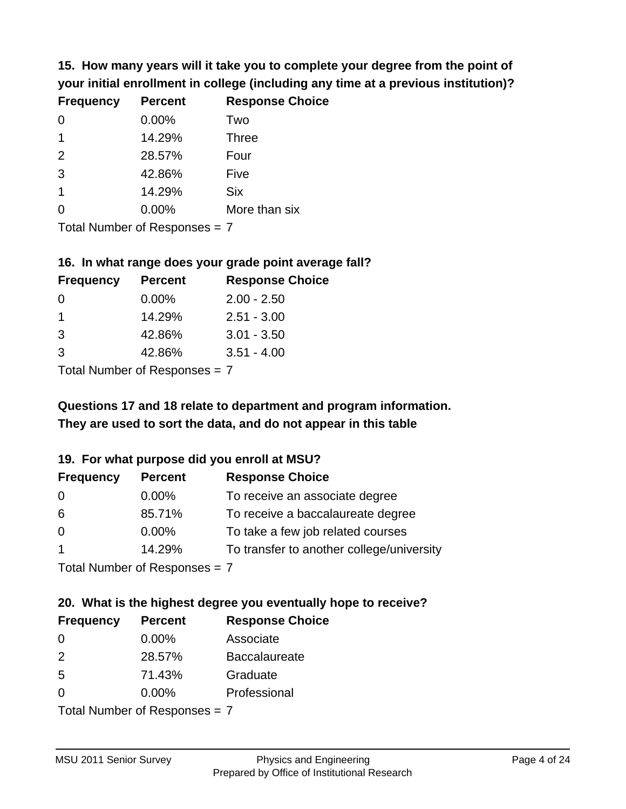**15. How many years will it take you to complete your degree from the point of your initial enrollment in college (including any time at a previous institution)?**

| <b>Frequency</b> | <b>Percent</b> | <b>Response Choice</b> |
|------------------|----------------|------------------------|
| $\Omega$         | 0.00%          | Two                    |
| 1                | 14.29%         | <b>Three</b>           |
| 2                | 28.57%         | Four                   |
| 3                | 42.86%         | Five                   |
| 1                | 14.29%         | <b>Six</b>             |
| $\Omega$         | 0.00%          | More than six          |
|                  |                |                        |

Total Number of Responses = 7

#### **16. In what range does your grade point average fall?**

| <b>Frequency</b> | <b>Percent</b> | <b>Response Choice</b> |
|------------------|----------------|------------------------|
| O                | $0.00\%$       | $2.00 - 2.50$          |
|                  | 14.29%         | $2.51 - 3.00$          |
| 3                | 42.86%         | $3.01 - 3.50$          |
| 3                | 42.86%         | $3.51 - 4.00$          |
|                  |                |                        |

Total Number of Responses = 7

## **They are used to sort the data, and do not appear in this table Questions 17 and 18 relate to department and program information.**

#### **19. For what purpose did you enroll at MSU?**

| <b>Frequency</b>          | <b>Percent</b> | <b>Response Choice</b>                    |
|---------------------------|----------------|-------------------------------------------|
| -0                        | $0.00\%$       | To receive an associate degree            |
| 6                         | 85.71%         | To receive a baccalaureate degree         |
| $\overline{0}$            | $0.00\%$       | To take a few job related courses         |
|                           | 14.29%         | To transfer to another college/university |
| Total Number of Desponses |                |                                           |

Total Number of Responses = 7

# **20. What is the highest degree you eventually hope to receive?**

| <b>Frequency</b>              | <b>Percent</b> | <b>Response Choice</b> |
|-------------------------------|----------------|------------------------|
| 0                             | $0.00\%$       | Associate              |
| 2                             | 28.57%         | <b>Baccalaureate</b>   |
| 5                             | 71.43%         | Graduate               |
| 0                             | $0.00\%$       | Professional           |
| $Total Number of Denonce - 7$ |                |                        |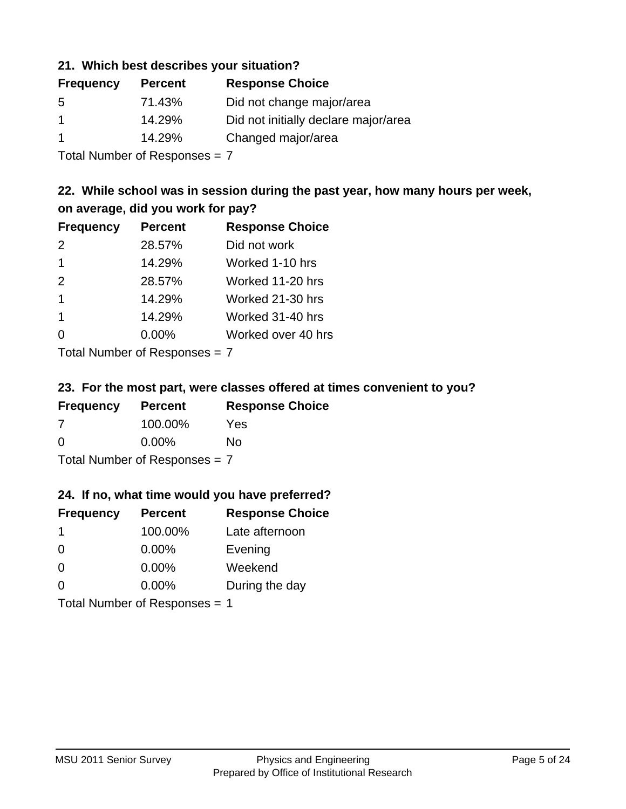### **21. Which best describes your situation?**

| <b>Percent</b> | <b>Response Choice</b>               |
|----------------|--------------------------------------|
| 71.43%         | Did not change major/area            |
| 14.29%         | Did not initially declare major/area |
| 14.29%         | Changed major/area                   |
|                |                                      |

Total Number of Responses = 7

### **22. While school was in session during the past year, how many hours per week, on average, did you work for pay?**

| <b>Frequency</b> | <b>Percent</b> | <b>Response Choice</b> |
|------------------|----------------|------------------------|
| 2                | 28.57%         | Did not work           |
| $\overline{1}$   | 14.29%         | Worked 1-10 hrs        |
| 2                | 28.57%         | Worked 11-20 hrs       |
| $\mathbf 1$      | 14.29%         | Worked 21-30 hrs       |
| $\mathbf 1$      | 14.29%         | Worked 31-40 hrs       |
| $\Omega$         | 0.00%          | Worked over 40 hrs     |
|                  |                |                        |

Total Number of Responses = 7

#### **23. For the most part, were classes offered at times convenient to you?**

| <b>Frequency</b>                | <b>Percent</b> | <b>Response Choice</b> |
|---------------------------------|----------------|------------------------|
| -7                              | 100.00%        | Yes                    |
| $\Omega$                        | $0.00\%$       | No                     |
| Total Number of Responses = $7$ |                |                        |

#### **24. If no, what time would you have preferred?**

| <b>Frequency</b> | <b>Percent</b>                | <b>Response Choice</b> |
|------------------|-------------------------------|------------------------|
| -1               | 100.00%                       | Late afternoon         |
| $\Omega$         | 0.00%                         | Evening                |
| 0                | $0.00\%$                      | Weekend                |
| $\Omega$         | $0.00\%$                      | During the day         |
|                  | Total Number of Responses = 1 |                        |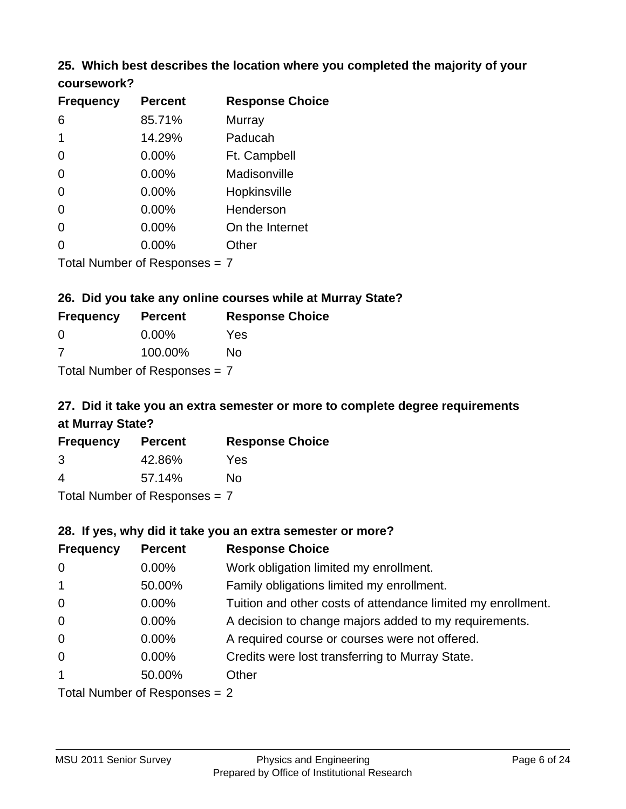### **25. Which best describes the location where you completed the majority of your coursework?**

| <b>Frequency</b>              | <b>Percent</b> | <b>Response Choice</b> |
|-------------------------------|----------------|------------------------|
| 6                             | 85.71%         | Murray                 |
| 1                             | 14.29%         | Paducah                |
| 0                             | $0.00\%$       | Ft. Campbell           |
| 0                             | $0.00\%$       | Madisonville           |
| 0                             | $0.00\%$       | Hopkinsville           |
| 0                             | 0.00%          | Henderson              |
| 0                             | 0.00%          | On the Internet        |
| 0                             | 0.00%          | Other                  |
| Total Number of Responses = 7 |                |                        |

**26. Did you take any online courses while at Murray State?**

| <b>Frequency</b>                | <b>Percent</b> | <b>Response Choice</b> |  |
|---------------------------------|----------------|------------------------|--|
| -0                              | $0.00\%$       | Yes                    |  |
| -7                              | 100.00%        | No                     |  |
| Total Number of Responses = $7$ |                |                        |  |

## **27. Did it take you an extra semester or more to complete degree requirements at Murray State?**

| <b>Frequency</b> | <b>Percent</b>             | <b>Response Choice</b> |
|------------------|----------------------------|------------------------|
| 3                | 42.86%                     | Yes                    |
| 4                | 57.14%                     | Nο                     |
|                  | Tatal Number of Desperance |                        |

Total Number of Responses = 7

#### **28. If yes, why did it take you an extra semester or more?**

| <b>Frequency</b> | <b>Percent</b>                 | <b>Response Choice</b>                                       |
|------------------|--------------------------------|--------------------------------------------------------------|
| $\mathbf 0$      | 0.00%                          | Work obligation limited my enrollment.                       |
| $\mathbf{1}$     | 50.00%                         | Family obligations limited my enrollment.                    |
| $\mathbf 0$      | 0.00%                          | Tuition and other costs of attendance limited my enrollment. |
| $\mathbf 0$      | 0.00%                          | A decision to change majors added to my requirements.        |
| $\mathbf 0$      | $0.00\%$                       | A required course or courses were not offered.               |
| $\mathbf 0$      | $0.00\%$                       | Credits were lost transferring to Murray State.              |
| $\mathbf 1$      | 50.00%                         | Other                                                        |
|                  | Total Number of Reconnect $-2$ |                                                              |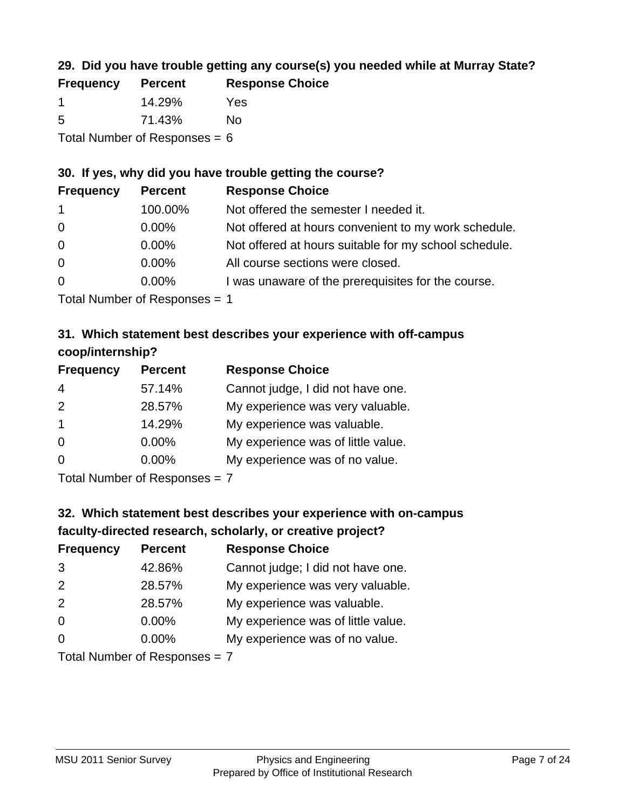## **29. Did you have trouble getting any course(s) you needed while at Murray State?**

| <b>Frequency</b>                | <b>Percent</b> | <b>Response Choice</b> |  |  |
|---------------------------------|----------------|------------------------|--|--|
|                                 | 14.29%         | Yes                    |  |  |
| -5                              | 71.43%         | No.                    |  |  |
| Total Number of Responses = $6$ |                |                        |  |  |

#### **30. If yes, why did you have trouble getting the course?**

| <b>Frequency</b> | <b>Percent</b> | <b>Response Choice</b>                                |
|------------------|----------------|-------------------------------------------------------|
| $\mathbf{1}$     | 100.00%        | Not offered the semester I needed it.                 |
| $\overline{0}$   | $0.00\%$       | Not offered at hours convenient to my work schedule.  |
| $\overline{0}$   | $0.00\%$       | Not offered at hours suitable for my school schedule. |
| $\overline{0}$   | $0.00\%$       | All course sections were closed.                      |
| $\overline{0}$   | $0.00\%$       | I was unaware of the prerequisites for the course.    |
|                  |                |                                                       |

Total Number of Responses = 1

## **31. Which statement best describes your experience with off-campus coop/internship?**

| <b>Frequency</b> | <b>Percent</b> | <b>Response Choice</b>             |
|------------------|----------------|------------------------------------|
| $\overline{4}$   | 57.14%         | Cannot judge, I did not have one.  |
| 2                | 28.57%         | My experience was very valuable.   |
| $\mathbf 1$      | 14.29%         | My experience was valuable.        |
| $\Omega$         | $0.00\%$       | My experience was of little value. |
| $\Omega$         | 0.00%          | My experience was of no value.     |
|                  |                |                                    |

Total Number of Responses = 7

## **32. Which statement best describes your experience with on-campus faculty-directed research, scholarly, or creative project?**

| <b>Frequency</b> | <b>Percent</b>                | <b>Response Choice</b>             |
|------------------|-------------------------------|------------------------------------|
| 3                | 42.86%                        | Cannot judge; I did not have one.  |
| 2                | 28.57%                        | My experience was very valuable.   |
| 2                | 28.57%                        | My experience was valuable.        |
| $\overline{0}$   | $0.00\%$                      | My experience was of little value. |
| $\Omega$         | $0.00\%$                      | My experience was of no value.     |
|                  | Tetal Nives box of Desperance |                                    |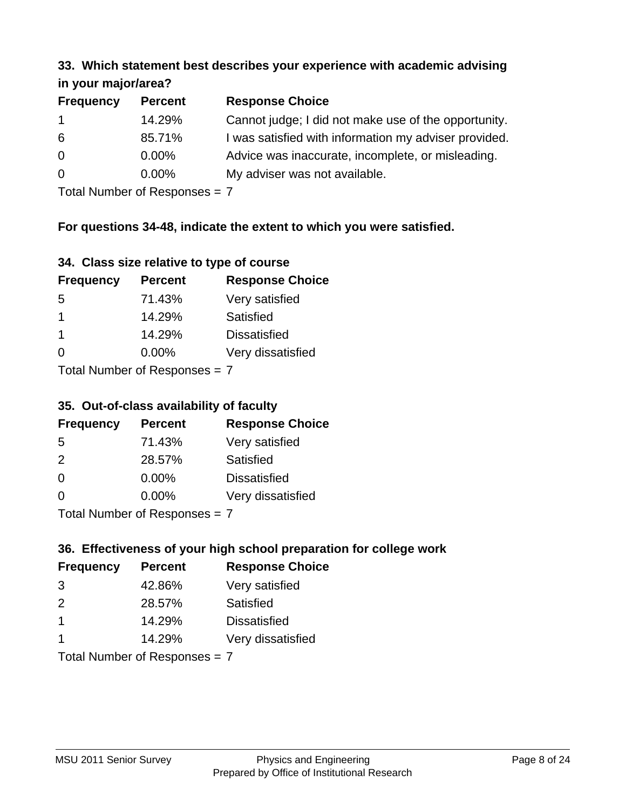#### **33. Which statement best describes your experience with academic advising in your major/area?**

| $\mathbf{u}$ yvu $\mathbf{u}$ yvu $\mathbf{v}$ |                |                                                       |
|------------------------------------------------|----------------|-------------------------------------------------------|
| <b>Frequency</b>                               | <b>Percent</b> | <b>Response Choice</b>                                |
| $\mathbf 1$                                    | 14.29%         | Cannot judge; I did not make use of the opportunity.  |
| 6                                              | 85.71%         | I was satisfied with information my adviser provided. |
| $\overline{0}$                                 | 0.00%          | Advice was inaccurate, incomplete, or misleading.     |
| $\overline{0}$                                 | $0.00\%$       | My adviser was not available.                         |
|                                                |                |                                                       |

Total Number of Responses = 7

### **For questions 34-48, indicate the extent to which you were satisfied.**

| 34. Class size relative to type of course |  |  |  |  |  |  |  |  |
|-------------------------------------------|--|--|--|--|--|--|--|--|
|-------------------------------------------|--|--|--|--|--|--|--|--|

| <b>Frequency</b>               | <b>Percent</b> | <b>Response Choice</b> |  |  |
|--------------------------------|----------------|------------------------|--|--|
| -5                             | 71.43%         | Very satisfied         |  |  |
| -1                             | 14.29%         | Satisfied              |  |  |
| -1                             | 14.29%         | <b>Dissatisfied</b>    |  |  |
| $\Omega$                       | $0.00\%$       | Very dissatisfied      |  |  |
| Total Number of Reconnege $-7$ |                |                        |  |  |

Total Number of Responses  $=$   $\prime$ 

### **35. Out-of-class availability of faculty**

| <b>Frequency</b> | <b>Percent</b>            | <b>Response Choice</b> |
|------------------|---------------------------|------------------------|
| 5                | 71.43%                    | Very satisfied         |
| $\mathcal{P}$    | 28.57%                    | Satisfied              |
| $\Omega$         | $0.00\%$                  | <b>Dissatisfied</b>    |
| $\Omega$         | $0.00\%$                  | Very dissatisfied      |
|                  | Total Number of Deepensee |                        |

Total Number of Responses = 7

## **36. Effectiveness of your high school preparation for college work**

| <b>Frequency</b> | <b>Percent</b>                | <b>Response Choice</b> |
|------------------|-------------------------------|------------------------|
| 3                | 42.86%                        | Very satisfied         |
| $\mathcal{P}$    | 28.57%                        | Satisfied              |
| $\mathbf 1$      | 14.29%                        | <b>Dissatisfied</b>    |
| -1               | 14.29%                        | Very dissatisfied      |
|                  | Total Number of Responses = 7 |                        |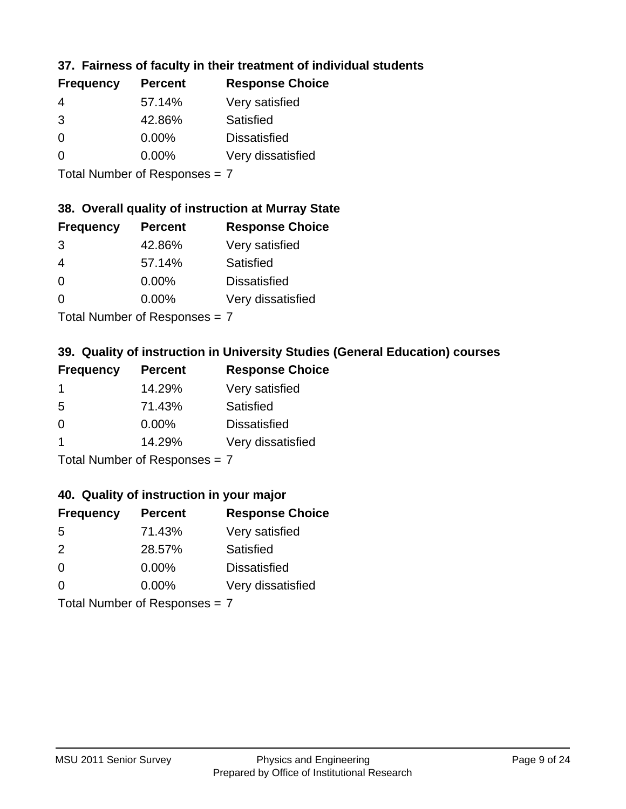### **37. Fairness of faculty in their treatment of individual students**

| <b>Frequency</b> | <b>Percent</b> | <b>Response Choice</b> |
|------------------|----------------|------------------------|
| 4                | 57.14%         | Very satisfied         |
| 3                | 42.86%         | Satisfied              |
| $\Omega$         | $0.00\%$       | <b>Dissatisfied</b>    |
| $\Omega$         | $0.00\%$       | Very dissatisfied      |
|                  |                |                        |

Total Number of Responses = 7

### **38. Overall quality of instruction at Murray State**

| <b>Frequency</b> | <b>Percent</b> | <b>Response Choice</b> |
|------------------|----------------|------------------------|
| 3                | 42.86%         | Very satisfied         |
| $\overline{4}$   | 57.14%         | Satisfied              |
| $\Omega$         | 0.00%          | <b>Dissatisfied</b>    |
| $\Omega$         | 0.00%          | Very dissatisfied      |
|                  |                |                        |

Total Number of Responses = 7

## **39. Quality of instruction in University Studies (General Education) courses**

| <b>Frequency</b> | <b>Percent</b> | <b>Response Choice</b> |
|------------------|----------------|------------------------|
|                  | 14.29%         | Very satisfied         |
| 5                | 71.43%         | Satisfied              |
| ∩                | $0.00\%$       | <b>Dissatisfied</b>    |
|                  | 14.29%         | Very dissatisfied      |
|                  |                |                        |

Total Number of Responses = 7

#### **40. Quality of instruction in your major**

| <b>Frequency</b> | <b>Percent</b>             | <b>Response Choice</b> |
|------------------|----------------------------|------------------------|
| .5               | 71.43%                     | Very satisfied         |
| $\mathcal{P}$    | 28.57%                     | Satisfied              |
| $\Omega$         | $0.00\%$                   | <b>Dissatisfied</b>    |
| $\Omega$         | 0.00%                      | Very dissatisfied      |
|                  | Tatal Number of Desperance |                        |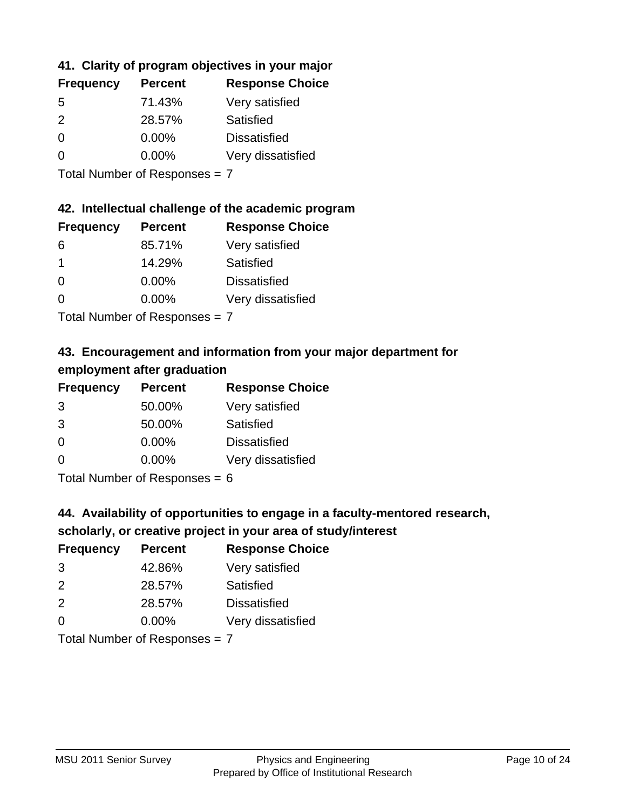## **41. Clarity of program objectives in your major**

| <b>Frequency</b> | <b>Percent</b> | <b>Response Choice</b> |
|------------------|----------------|------------------------|
| .5               | 71.43%         | Very satisfied         |
| $\mathcal{P}$    | 28.57%         | Satisfied              |
| $\Omega$         | 0.00%          | <b>Dissatisfied</b>    |
| ∩                | $0.00\%$       | Very dissatisfied      |
|                  |                |                        |

Total Number of Responses = 7

#### **42. Intellectual challenge of the academic program**

| <b>Frequency</b> | <b>Percent</b> | <b>Response Choice</b> |
|------------------|----------------|------------------------|
| 6                | 85.71%         | Very satisfied         |
|                  | 14.29%         | Satisfied              |
| $\Omega$         | $0.00\%$       | <b>Dissatisfied</b>    |
| O                | $0.00\%$       | Very dissatisfied      |
|                  |                |                        |

Total Number of Responses = 7

## **43. Encouragement and information from your major department for employment after graduation**

| <b>Frequency</b> | <b>Percent</b> | <b>Response Choice</b> |
|------------------|----------------|------------------------|
| 3                | 50.00%         | Very satisfied         |
| 3                | 50.00%         | Satisfied              |
| 0                | $0.00\%$       | <b>Dissatisfied</b>    |
| $\Omega$         | 0.00%          | Very dissatisfied      |
|                  |                |                        |

Total Number of Responses  $= 6$ 

## **44. Availability of opportunities to engage in a faculty-mentored research,**

### **scholarly, or creative project in your area of study/interest**

| <b>Frequency</b> | <b>Percent</b> | <b>Response Choice</b> |
|------------------|----------------|------------------------|
| 3                | 42.86%         | Very satisfied         |
| $\mathcal{P}$    | 28.57%         | Satisfied              |
| $\mathcal{P}$    | 28.57%         | <b>Dissatisfied</b>    |
| $\Omega$         | 0.00%          | Very dissatisfied      |
|                  |                |                        |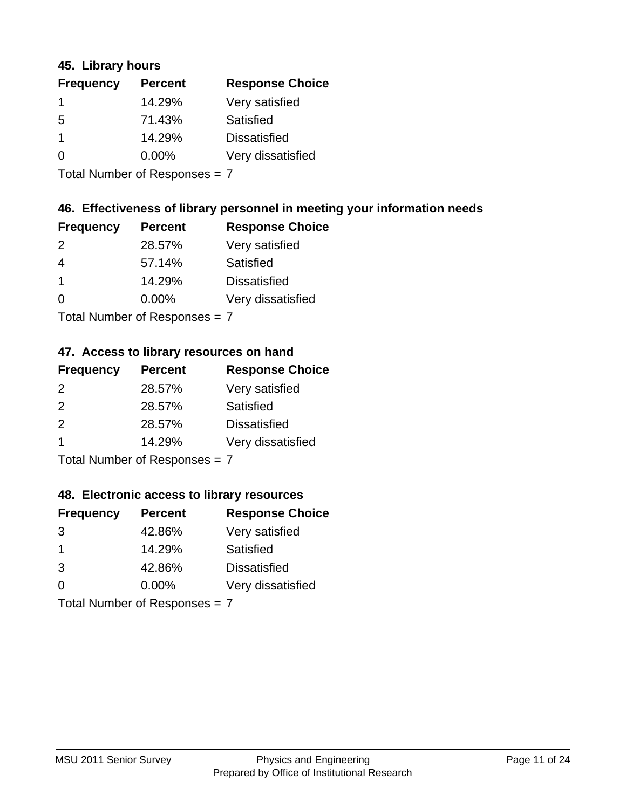### **45. Library hours**

| <b>Frequency</b> | <b>Percent</b> | <b>Response Choice</b> |
|------------------|----------------|------------------------|
|                  | 14.29%         | Very satisfied         |
| 5                | 71.43%         | Satisfied              |
| 1                | 14.29%         | <b>Dissatisfied</b>    |
| 0                | $0.00\%$       | Very dissatisfied      |
|                  |                |                        |

Total Number of Responses = 7

### **46. Effectiveness of library personnel in meeting your information needs**

| <b>Frequency</b> | <b>Percent</b> | <b>Response Choice</b> |
|------------------|----------------|------------------------|
| $\mathcal{P}$    | 28.57%         | Very satisfied         |
| 4                | 57.14%         | Satisfied              |
|                  | 14.29%         | <b>Dissatisfied</b>    |
| $\Omega$         | $0.00\%$       | Very dissatisfied      |
|                  |                |                        |

Total Number of Responses = 7

## **47. Access to library resources on hand**

| <b>Frequency</b> | <b>Percent</b>                           | <b>Response Choice</b> |
|------------------|------------------------------------------|------------------------|
| $\mathcal{P}$    | 28.57%                                   | Very satisfied         |
| $\mathcal{P}$    | 28.57%                                   | Satisfied              |
| 2                | 28.57%                                   | <b>Dissatisfied</b>    |
|                  | 14.29%                                   | Very dissatisfied      |
|                  | $T$ at all Message and $D$ are a serious |                        |

Total Number of Responses = 7

#### **48. Electronic access to library resources**

| <b>Frequency</b> | <b>Percent</b>             | <b>Response Choice</b> |
|------------------|----------------------------|------------------------|
| 3                | 42.86%                     | Very satisfied         |
| -1               | 14.29%                     | Satisfied              |
| 3                | 42.86%                     | <b>Dissatisfied</b>    |
| $\Omega$         | $0.00\%$                   | Very dissatisfied      |
|                  | Tatal Number of Desperance |                        |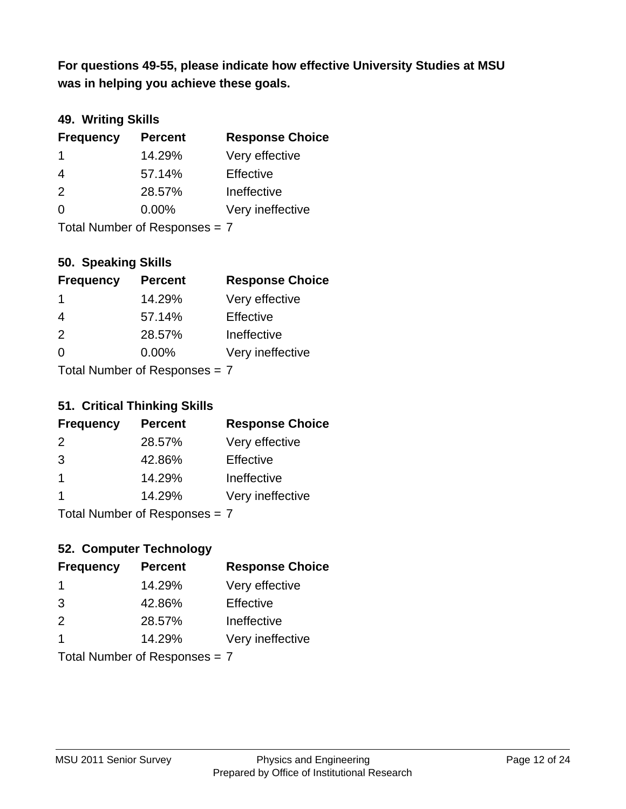**was in helping you achieve these goals. For questions 49-55, please indicate how effective University Studies at MSU** 

### **49. Writing Skills**

| <b>Frequency</b>              | <b>Percent</b> | <b>Response Choice</b> |
|-------------------------------|----------------|------------------------|
| $\mathbf 1$                   | 14.29%         | Very effective         |
| 4                             | 57.14%         | Effective              |
| 2                             | 28.57%         | Ineffective            |
| $\Omega$                      | $0.00\%$       | Very ineffective       |
| Total Number of Responses = 7 |                |                        |

**50. Speaking Skills**

| <b>Frequency</b>               | <b>Percent</b> | <b>Response Choice</b> |
|--------------------------------|----------------|------------------------|
| -1                             | 14.29%         | Very effective         |
| 4                              | 57.14%         | Effective              |
| 2                              | 28.57%         | Ineffective            |
| $\Omega$                       | 0.00%          | Very ineffective       |
| $Total Number of Denonone = 7$ |                |                        |

I otal Number of Responses = 7

### **51. Critical Thinking Skills**

| <b>Frequency</b> | <b>Percent</b>            | <b>Response Choice</b> |
|------------------|---------------------------|------------------------|
| 2                | 28.57%                    | Very effective         |
| 3                | 42.86%                    | Effective              |
| $\overline{1}$   | 14.29%                    | Ineffective            |
|                  | 14.29%                    | Very ineffective       |
|                  | Total Number of Deepensee |                        |

Total Number of Responses = 7

## **52. Computer Technology**

| <b>Frequency</b> | <b>Percent</b>                | <b>Response Choice</b> |
|------------------|-------------------------------|------------------------|
| -1               | 14.29%                        | Very effective         |
| 3                | 42.86%                        | Effective              |
| 2                | 28.57%                        | Ineffective            |
| -1               | 14.29%                        | Very ineffective       |
|                  | Total Number of Responses = 7 |                        |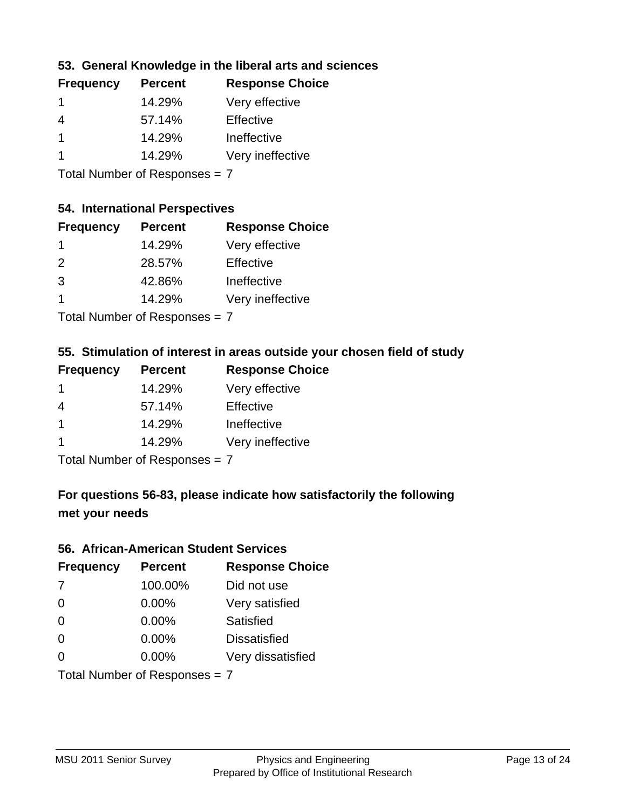### **53. General Knowledge in the liberal arts and sciences**

| <b>Frequency</b> | <b>Percent</b> | <b>Response Choice</b> |
|------------------|----------------|------------------------|
|                  | 14.29%         | Very effective         |
| 4                | 57.14%         | Effective              |
|                  | 14.29%         | Ineffective            |
|                  | 14.29%         | Very ineffective       |
|                  |                |                        |

Total Number of Responses = 7

#### **54. International Perspectives**

| <b>Frequency</b> | <b>Percent</b> | <b>Response Choice</b> |
|------------------|----------------|------------------------|
| 1                | 14.29%         | Very effective         |
| 2                | 28.57%         | Effective              |
| 3                | 42.86%         | Ineffective            |
| 1                | 14.29%         | Very ineffective       |
|                  |                |                        |

Total Number of Responses = 7

### **55. Stimulation of interest in areas outside your chosen field of study**

| <b>Frequency</b>            | <b>Percent</b> | <b>Response Choice</b> |
|-----------------------------|----------------|------------------------|
|                             | 14.29%         | Very effective         |
| 4                           | 57.14%         | Effective              |
| -1                          | 14.29%         | Ineffective            |
|                             | 14.29%         | Very ineffective       |
| Tatal Mussakers of December |                |                        |

Total Number of Responses = 7

## **For questions 56-83, please indicate how satisfactorily the following met your needs**

#### **56. African-American Student Services**

| <b>Frequency</b>              | <b>Percent</b> | <b>Response Choice</b> |
|-------------------------------|----------------|------------------------|
| 7                             | 100.00%        | Did not use            |
| $\Omega$                      | 0.00%          | Very satisfied         |
| $\Omega$                      | 0.00%          | Satisfied              |
| $\Omega$                      | $0.00\%$       | <b>Dissatisfied</b>    |
| $\Omega$                      | 0.00%          | Very dissatisfied      |
| Total Number of Responses = 7 |                |                        |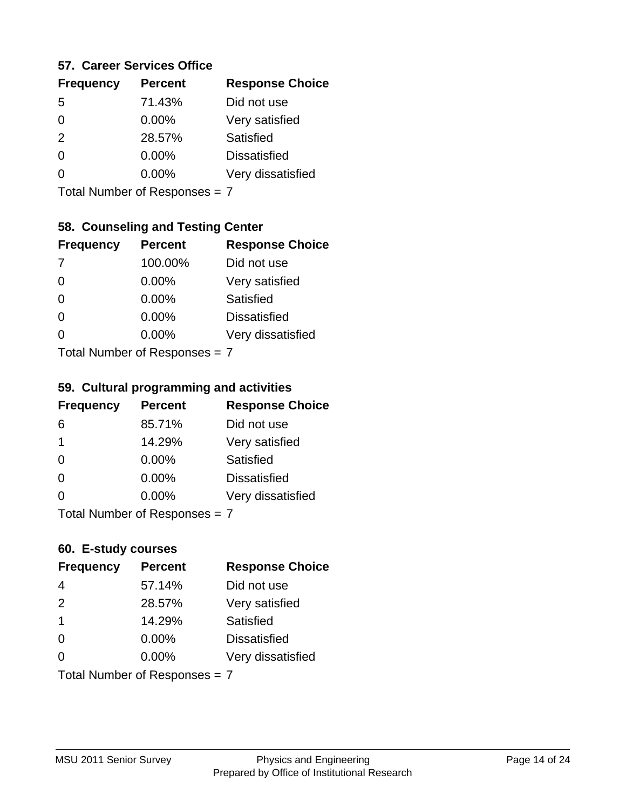#### **57. Career Services Office**

| <b>Frequency</b> | <b>Percent</b> | <b>Response Choice</b> |
|------------------|----------------|------------------------|
| 5                | 71.43%         | Did not use            |
| 0                | 0.00%          | Very satisfied         |
| 2                | 28.57%         | Satisfied              |
| 0                | $0.00\%$       | <b>Dissatisfied</b>    |
|                  | $0.00\%$       | Very dissatisfied      |
|                  |                |                        |

Total Number of Responses = 7

### **58. Counseling and Testing Center**

| <b>Frequency</b>                 | <b>Percent</b> | <b>Response Choice</b> |
|----------------------------------|----------------|------------------------|
| -7                               | 100.00%        | Did not use            |
| $\Omega$                         | $0.00\%$       | Very satisfied         |
| $\Omega$                         | $0.00\%$       | <b>Satisfied</b>       |
| $\Omega$                         | 0.00%          | <b>Dissatisfied</b>    |
| 0                                | 0.00%          | Very dissatisfied      |
| $Total Number of DoEROR 202 = 7$ |                |                        |

Total Number of Responses = 7

#### **59. Cultural programming and activities**

| <b>Frequency</b>           | <b>Percent</b> | <b>Response Choice</b> |
|----------------------------|----------------|------------------------|
| 6                          | 85.71%         | Did not use            |
| $\overline{\mathbf{1}}$    | 14.29%         | Very satisfied         |
| $\Omega$                   | 0.00%          | Satisfied              |
| $\Omega$                   | 0.00%          | <b>Dissatisfied</b>    |
| $\Omega$                   | 0.00%          | Very dissatisfied      |
| Total Number of Denonone – |                |                        |

Total Number of Responses = 7

#### **60. E-study courses**

| <b>Frequency</b>              | <b>Percent</b> | <b>Response Choice</b> |
|-------------------------------|----------------|------------------------|
| 4                             | 57.14%         | Did not use            |
| 2                             | 28.57%         | Very satisfied         |
| $\overline{\mathbf{1}}$       | 14.29%         | Satisfied              |
| $\Omega$                      | 0.00%          | <b>Dissatisfied</b>    |
| $\Omega$                      | 0.00%          | Very dissatisfied      |
| Total Number of Responses = 7 |                |                        |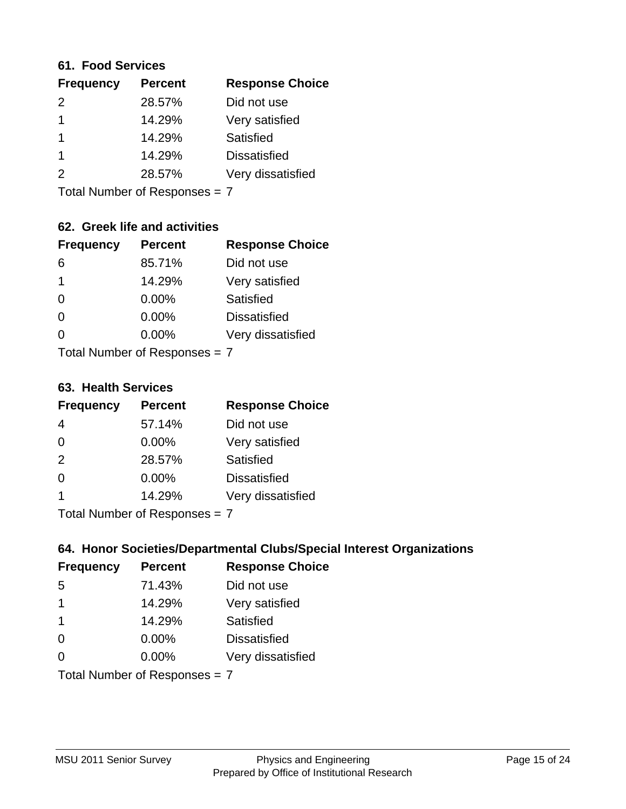#### **61. Food Services**

| <b>Frequency</b> | <b>Percent</b> | <b>Response Choice</b> |
|------------------|----------------|------------------------|
| $\mathcal{P}$    | 28.57%         | Did not use            |
|                  | 14.29%         | Very satisfied         |
|                  | 14.29%         | Satisfied              |
|                  | 14.29%         | <b>Dissatisfied</b>    |
| 2                | 28.57%         | Very dissatisfied      |
|                  |                |                        |

Total Number of Responses = 7

### **62. Greek life and activities**

| <b>Frequency</b>              | <b>Percent</b> | <b>Response Choice</b> |
|-------------------------------|----------------|------------------------|
| 6                             | 85.71%         | Did not use            |
| 1                             | 14.29%         | Very satisfied         |
| 0                             | $0.00\%$       | Satisfied              |
| $\Omega$                      | $0.00\%$       | <b>Dissatisfied</b>    |
| 0                             | 0.00%          | Very dissatisfied      |
| Total Number of Responses = 7 |                |                        |

#### **63. Health Services**

| <b>Frequency</b>          | <b>Percent</b> | <b>Response Choice</b> |
|---------------------------|----------------|------------------------|
| 4                         | 57.14%         | Did not use            |
| $\Omega$                  | 0.00%          | Very satisfied         |
| 2                         | 28.57%         | <b>Satisfied</b>       |
| $\Omega$                  | $0.00\%$       | <b>Dissatisfied</b>    |
|                           | 14.29%         | Very dissatisfied      |
| Total Number of Desponses |                |                        |

Total Number of Responses = 7

### **64. Honor Societies/Departmental Clubs/Special Interest Organizations**

| <b>Frequency</b> | <b>Percent</b>                | <b>Response Choice</b> |
|------------------|-------------------------------|------------------------|
| 5                | 71.43%                        | Did not use            |
| $\mathbf 1$      | 14.29%                        | Very satisfied         |
| -1               | 14.29%                        | Satisfied              |
| $\Omega$         | 0.00%                         | <b>Dissatisfied</b>    |
| $\Omega$         | 0.00%                         | Very dissatisfied      |
|                  | Total Number of Responses = 7 |                        |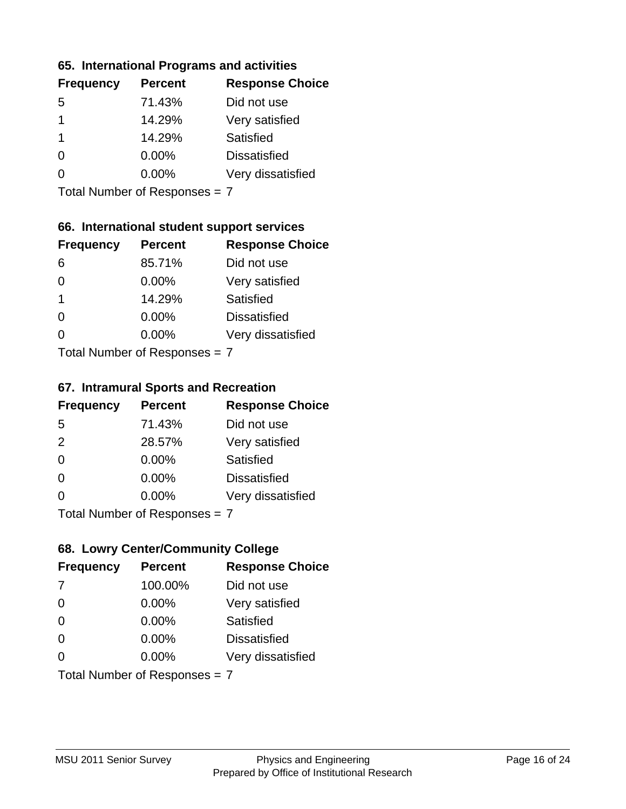### **65. International Programs and activities**

| <b>Frequency</b> | <b>Percent</b> | <b>Response Choice</b> |
|------------------|----------------|------------------------|
| .5               | 71.43%         | Did not use            |
|                  | 14.29%         | Very satisfied         |
|                  | 14.29%         | Satisfied              |
| 0                | $0.00\%$       | <b>Dissatisfied</b>    |
|                  | $0.00\%$       | Very dissatisfied      |
|                  |                |                        |

Total Number of Responses = 7

### **66. International student support services**

| <b>Frequency</b>                | <b>Percent</b> | <b>Response Choice</b> |
|---------------------------------|----------------|------------------------|
| 6                               | 85.71%         | Did not use            |
| 0                               | $0.00\%$       | Very satisfied         |
| 1                               | 14.29%         | <b>Satisfied</b>       |
| $\Omega$                        | $0.00\%$       | <b>Dissatisfied</b>    |
| 0                               | $0.00\%$       | Very dissatisfied      |
| $Total Number of Doepopoog = 7$ |                |                        |

Total Number of Responses = 7

#### **67. Intramural Sports and Recreation**

| <b>Frequency</b> | <b>Percent</b>                | <b>Response Choice</b> |
|------------------|-------------------------------|------------------------|
| -5               | 71.43%                        | Did not use            |
| 2                | 28.57%                        | Very satisfied         |
| $\Omega$         | $0.00\%$                      | <b>Satisfied</b>       |
| $\Omega$         | $0.00\%$                      | <b>Dissatisfied</b>    |
| $\Omega$         | $0.00\%$                      | Very dissatisfied      |
|                  | $Total Number of Denonce = 7$ |                        |

Total Number of Responses = 7

## **68. Lowry Center/Community College**

| <b>Frequency</b>              | <b>Percent</b> | <b>Response Choice</b> |
|-------------------------------|----------------|------------------------|
| -7                            | 100.00%        | Did not use            |
| $\Omega$                      | 0.00%          | Very satisfied         |
| $\Omega$                      | 0.00%          | Satisfied              |
| $\Omega$                      | 0.00%          | <b>Dissatisfied</b>    |
| 0                             | 0.00%          | Very dissatisfied      |
| Total Number of Responses = 7 |                |                        |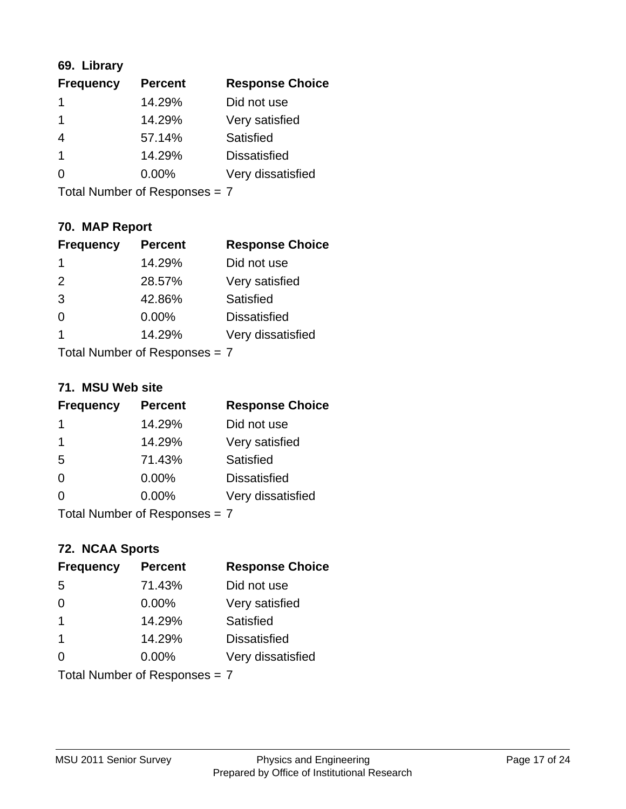## **69. Library**

| <b>Frequency</b> | <b>Percent</b> | <b>Response Choice</b> |
|------------------|----------------|------------------------|
|                  | 14.29%         | Did not use            |
|                  | 14.29%         | Very satisfied         |
| 4                | 57.14%         | Satisfied              |
| $\mathbf 1$      | 14.29%         | <b>Dissatisfied</b>    |
| ∩                | $0.00\%$       | Very dissatisfied      |
|                  |                |                        |

Total Number of Responses = 7

## **70. MAP Report**

| <b>Frequency</b>              | <b>Percent</b> | <b>Response Choice</b> |
|-------------------------------|----------------|------------------------|
| 1                             | 14.29%         | Did not use            |
| 2                             | 28.57%         | Very satisfied         |
| 3                             | 42.86%         | Satisfied              |
| $\Omega$                      | 0.00%          | <b>Dissatisfied</b>    |
| 1                             | 14.29%         | Very dissatisfied      |
| Total Number of Responses = 7 |                |                        |

#### **71. MSU Web site**

| <b>Frequency</b> | <b>Percent</b>                | <b>Response Choice</b> |
|------------------|-------------------------------|------------------------|
| 1                | 14.29%                        | Did not use            |
| 1                | 14.29%                        | Very satisfied         |
| 5                | 71.43%                        | Satisfied              |
| $\Omega$         | 0.00%                         | <b>Dissatisfied</b>    |
| ∩                | 0.00%                         | Very dissatisfied      |
|                  | Total Number of Responses = 7 |                        |

## **72. NCAA Sports**

| <b>Frequency</b>        | <b>Percent</b>                | <b>Response Choice</b> |
|-------------------------|-------------------------------|------------------------|
| 5                       | 71.43%                        | Did not use            |
| $\Omega$                | $0.00\%$                      | Very satisfied         |
| $\overline{\mathbf{1}}$ | 14.29%                        | <b>Satisfied</b>       |
| $\overline{\mathbf{1}}$ | 14.29%                        | <b>Dissatisfied</b>    |
| ∩                       | 0.00%                         | Very dissatisfied      |
|                         | Total Number of Responses = 7 |                        |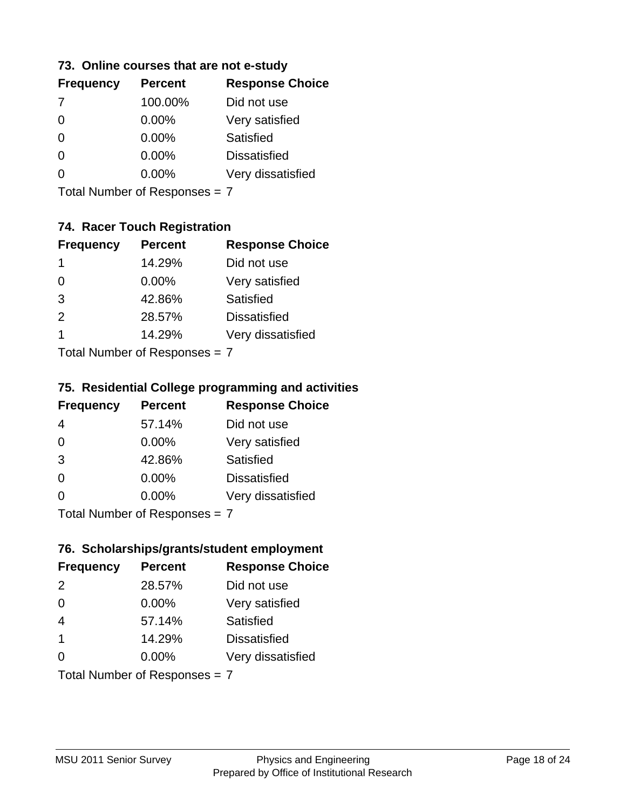### **73. Online courses that are not e-study**

| <b>Frequency</b> | <b>Percent</b> | <b>Response Choice</b> |
|------------------|----------------|------------------------|
| 7                | 100.00%        | Did not use            |
|                  | 0.00%          | Very satisfied         |
|                  | $0.00\%$       | Satisfied              |
|                  | $0.00\%$       | <b>Dissatisfied</b>    |
|                  | $0.00\%$       | Very dissatisfied      |
|                  |                |                        |

Total Number of Responses = 7

## **74. Racer Touch Registration**

| <b>Frequency</b> | <b>Percent</b>            | <b>Response Choice</b> |
|------------------|---------------------------|------------------------|
| 1                | 14.29%                    | Did not use            |
| 0                | 0.00%                     | Very satisfied         |
| 3                | 42.86%                    | <b>Satisfied</b>       |
| 2                | 28.57%                    | <b>Dissatisfied</b>    |
| 1                | 14.29%                    | Very dissatisfied      |
|                  | Total Number of Doopenoon |                        |

Total Number of Responses = 7

### **75. Residential College programming and activities**

| <b>Frequency</b>              | <b>Percent</b> | <b>Response Choice</b> |
|-------------------------------|----------------|------------------------|
| 4                             | 57.14%         | Did not use            |
| $\Omega$                      | $0.00\%$       | Very satisfied         |
| 3                             | 42.86%         | Satisfied              |
| $\Omega$                      | 0.00%          | <b>Dissatisfied</b>    |
| $\Omega$                      | 0.00%          | Very dissatisfied      |
| $Total Number of Denonce = 7$ |                |                        |

Total Number of Responses = 7

## **76. Scholarships/grants/student employment**

| <b>Frequency</b>              | <b>Percent</b> | <b>Response Choice</b> |
|-------------------------------|----------------|------------------------|
| 2                             | 28.57%         | Did not use            |
| $\Omega$                      | $0.00\%$       | Very satisfied         |
| $\overline{4}$                | 57.14%         | Satisfied              |
| $\overline{\mathbf{1}}$       | 14.29%         | <b>Dissatisfied</b>    |
| $\Omega$                      | $0.00\%$       | Very dissatisfied      |
| Total Number of Responses = 7 |                |                        |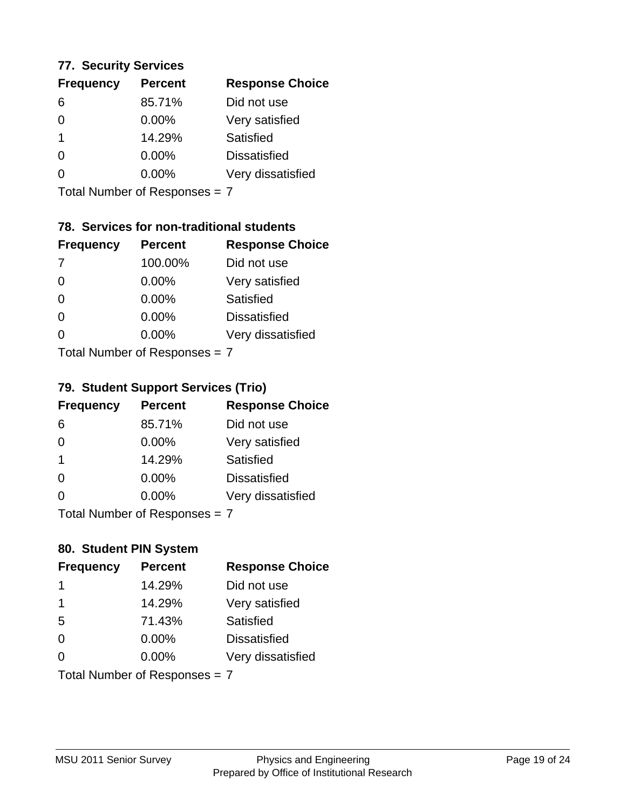### **77. Security Services**

| <b>Frequency</b> | <b>Percent</b> | <b>Response Choice</b> |
|------------------|----------------|------------------------|
| 6                | 85.71%         | Did not use            |
| 0                | $0.00\%$       | Very satisfied         |
| 1                | 14.29%         | Satisfied              |
| 0                | $0.00\%$       | <b>Dissatisfied</b>    |
|                  | $0.00\%$       | Very dissatisfied      |
|                  |                |                        |

Total Number of Responses = 7

## **78. Services for non-traditional students**

| <b>Frequency</b> | <b>Percent</b>                   | <b>Response Choice</b> |
|------------------|----------------------------------|------------------------|
| -7               | 100.00%                          | Did not use            |
| $\Omega$         | 0.00%                            | Very satisfied         |
| $\Omega$         | $0.00\%$                         | <b>Satisfied</b>       |
| $\Omega$         | 0.00%                            | <b>Dissatisfied</b>    |
| 0                | $0.00\%$                         | Very dissatisfied      |
|                  | $Total Number of DoEROR 202 = 7$ |                        |

Total Number of Responses = 7

### **79. Student Support Services (Trio)**

| <b>Frequency</b>          | <b>Percent</b> | <b>Response Choice</b> |
|---------------------------|----------------|------------------------|
| 6                         | 85.71%         | Did not use            |
| $\Omega$                  | $0.00\%$       | Very satisfied         |
| $\mathbf 1$               | 14.29%         | Satisfied              |
| $\Omega$                  | 0.00%          | <b>Dissatisfied</b>    |
| $\Omega$                  | 0.00%          | Very dissatisfied      |
| Total Number of Desponses |                |                        |

Total Number of Responses = 7

## **80. Student PIN System**

| <b>Frequency</b>              | <b>Percent</b> | <b>Response Choice</b> |
|-------------------------------|----------------|------------------------|
| 1                             | 14.29%         | Did not use            |
| 1                             | 14.29%         | Very satisfied         |
| 5                             | 71.43%         | Satisfied              |
| $\Omega$                      | 0.00%          | <b>Dissatisfied</b>    |
| $\Omega$                      | $0.00\%$       | Very dissatisfied      |
| Total Number of Responses = 7 |                |                        |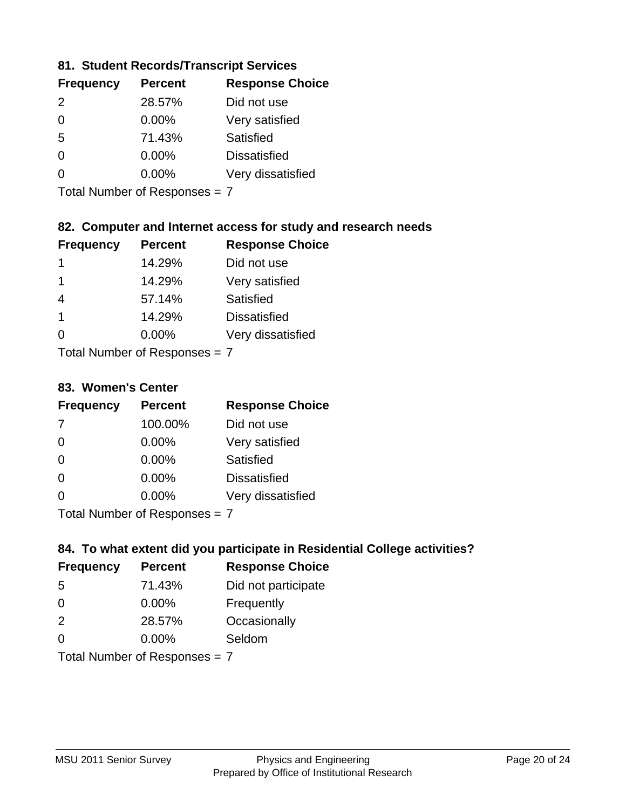### **81. Student Records/Transcript Services**

| <b>Frequency</b> | <b>Percent</b> | <b>Response Choice</b> |
|------------------|----------------|------------------------|
| $\mathcal{P}$    | 28.57%         | Did not use            |
| $\Omega$         | 0.00%          | Very satisfied         |
| .5               | 71.43%         | Satisfied              |
| ∩                | 0.00%          | <b>Dissatisfied</b>    |
| O                | $0.00\%$       | Very dissatisfied      |

Total Number of Responses = 7

### **82. Computer and Internet access for study and research needs**

| <b>Frequency</b> | <b>Percent</b>            | <b>Response Choice</b> |
|------------------|---------------------------|------------------------|
| 1                | 14.29%                    | Did not use            |
| 1                | 14.29%                    | Very satisfied         |
| 4                | 57.14%                    | Satisfied              |
| -1               | 14.29%                    | <b>Dissatisfied</b>    |
| ∩                | 0.00%                     | Very dissatisfied      |
|                  | Total Number of Deepersee |                        |

Total Number of Responses = 7

#### **83. Women's Center**

| <b>Frequency</b> | <b>Percent</b>             | <b>Response Choice</b> |
|------------------|----------------------------|------------------------|
| -7               | 100.00%                    | Did not use            |
| $\Omega$         | $0.00\%$                   | Very satisfied         |
| $\Omega$         | $0.00\%$                   | Satisfied              |
| $\Omega$         | 0.00%                      | <b>Dissatisfied</b>    |
| ∩                | $0.00\%$                   | Very dissatisfied      |
|                  | Total Number of Deepersoon |                        |

Total Number of Responses = 7

### **84. To what extent did you participate in Residential College activities?**

| <b>Frequency</b> | <b>Percent</b>                | <b>Response Choice</b> |
|------------------|-------------------------------|------------------------|
| -5               | 71.43%                        | Did not participate    |
| $\Omega$         | 0.00%                         | Frequently             |
| 2                | 28.57%                        | Occasionally           |
| $\Omega$         | 0.00%                         | Seldom                 |
|                  | Total Number of Responses = 7 |                        |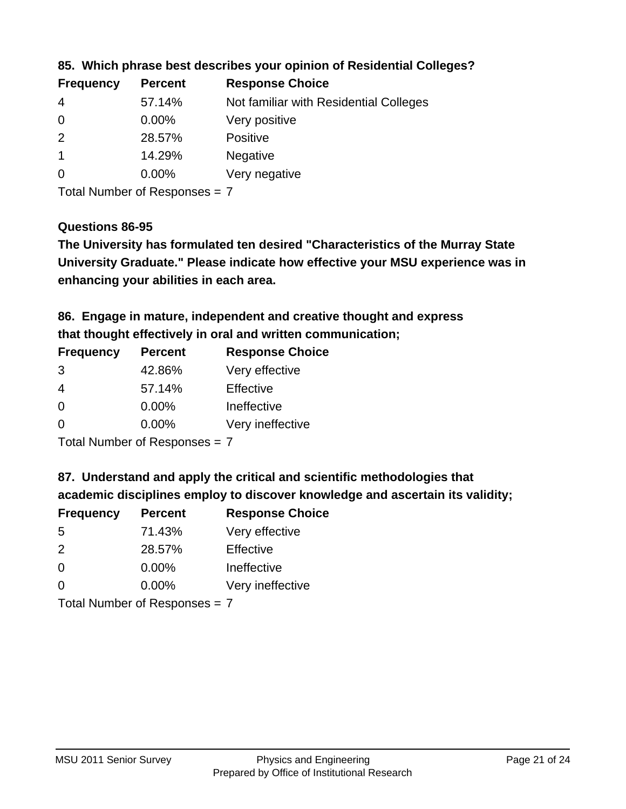| <b>Frequency</b> | <b>Percent</b> | <b>Response Choice</b>                 |
|------------------|----------------|----------------------------------------|
| -4               | 57.14%         | Not familiar with Residential Colleges |
| $\overline{0}$   | $0.00\%$       | Very positive                          |
| -2               | 28.57%         | <b>Positive</b>                        |
|                  | 14.29%         | <b>Negative</b>                        |
| -0               | $0.00\%$       | Very negative                          |
|                  |                |                                        |

**85. Which phrase best describes your opinion of Residential Colleges?**

Total Number of Responses = 7

#### **Questions 86-95**

**University Graduate." Please indicate how effective your MSU experience was in The University has formulated ten desired "Characteristics of the Murray State enhancing your abilities in each area.**

**86. Engage in mature, independent and creative thought and express that thought effectively in oral and written communication;**

| <b>Frequency</b> | <b>Percent</b> | <b>Response Choice</b> |
|------------------|----------------|------------------------|
| 3                | 42.86%         | Very effective         |
| 4                | 57.14%         | Effective              |
| $\Omega$         | $0.00\%$       | Ineffective            |
| O                | $0.00\%$       | Very ineffective       |

Total Number of Responses = 7

**87. Understand and apply the critical and scientific methodologies that** 

**academic disciplines employ to discover knowledge and ascertain its validity;**

| <b>Frequency</b> | <b>Percent</b> | <b>Response Choice</b> |
|------------------|----------------|------------------------|
| .5               | 71.43%         | Very effective         |
| $\mathcal{P}$    | 28.57%         | Effective              |
| $\Omega$         | 0.00%          | Ineffective            |
| ∩                | 0.00%          | Very ineffective       |
|                  |                |                        |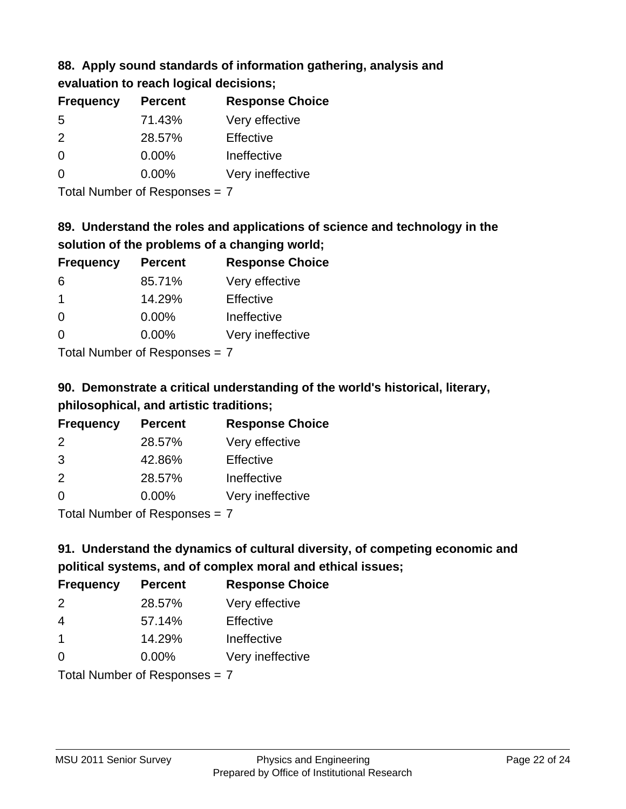## **88. Apply sound standards of information gathering, analysis and evaluation to reach logical decisions;**

| <b>Frequency</b> | <b>Percent</b> | <b>Response Choice</b> |
|------------------|----------------|------------------------|
| .5               | 71.43%         | Very effective         |
| $\mathcal{P}$    | 28.57%         | Effective              |
| ∩                | $0.00\%$       | Ineffective            |
| O                | $0.00\%$       | Very ineffective       |

Total Number of Responses = 7

## **89. Understand the roles and applications of science and technology in the solution of the problems of a changing world;**

| <b>Frequency</b>                                        | <b>Percent</b> | <b>Response Choice</b> |
|---------------------------------------------------------|----------------|------------------------|
| 6                                                       | 85.71%         | Very effective         |
| $\overline{1}$                                          | 14.29%         | Effective              |
| $\Omega$                                                | 0.00%          | Ineffective            |
| $\Omega$                                                | 0.00%          | Very ineffective       |
| $T$ at all Masseds and $R$ $\sim$ and $\sim$ and $\sim$ |                |                        |

Total Number of Responses = 7

# **90. Demonstrate a critical understanding of the world's historical, literary, philosophical, and artistic traditions;**

| <b>Frequency</b> | <b>Percent</b> | <b>Response Choice</b> |
|------------------|----------------|------------------------|
| $\mathcal{P}$    | 28.57%         | Very effective         |
| 3                | 42.86%         | Effective              |
| 2                | 28.57%         | Ineffective            |
| $\Omega$         | 0.00%          | Very ineffective       |
|                  |                |                        |

Total Number of Responses = 7

# **91. Understand the dynamics of cultural diversity, of competing economic and political systems, and of complex moral and ethical issues;**

| <b>Frequency</b>                | <b>Percent</b> | <b>Response Choice</b> |
|---------------------------------|----------------|------------------------|
| 2                               | 28.57%         | Very effective         |
| $\overline{4}$                  | 57.14%         | Effective              |
| $\overline{1}$                  | 14.29%         | Ineffective            |
| $\Omega$                        | $0.00\%$       | Very ineffective       |
| Total Number of Responses = $7$ |                |                        |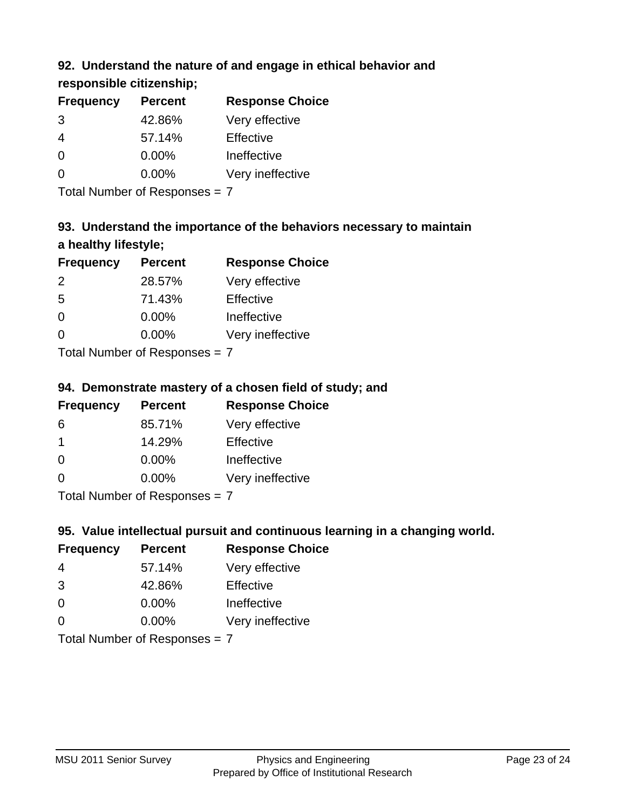## **92. Understand the nature of and engage in ethical behavior and**

**responsible citizenship;**

| <b>Frequency</b> | <b>Percent</b> | <b>Response Choice</b> |
|------------------|----------------|------------------------|
| 3                | 42.86%         | Very effective         |
| 4                | 57.14%         | Effective              |
| $\Omega$         | $0.00\%$       | Ineffective            |
| $\Omega$         | $0.00\%$       | Very ineffective       |
|                  |                |                        |

Total Number of Responses = 7

# **93. Understand the importance of the behaviors necessary to maintain a healthy lifestyle;**

| <b>Frequency</b>            | <b>Percent</b> | <b>Response Choice</b> |
|-----------------------------|----------------|------------------------|
| $\mathcal{P}$               | 28.57%         | Very effective         |
| -5                          | 71.43%         | Effective              |
| $\Omega$                    | 0.00%          | Ineffective            |
| ∩                           | 0.00%          | Very ineffective       |
| Tatal Manualan af Dannannan |                |                        |

Total Number of Responses = 7

## **94. Demonstrate mastery of a chosen field of study; and**

| <b>Frequency</b> | <b>Percent</b> | <b>Response Choice</b> |
|------------------|----------------|------------------------|
| 6                | 85.71%         | Very effective         |
|                  | 14.29%         | Effective              |
| $\Omega$         | $0.00\%$       | Ineffective            |
| ∩                | $0.00\%$       | Very ineffective       |
|                  |                |                        |

Total Number of Responses = 7

## **95. Value intellectual pursuit and continuous learning in a changing world.**

| <b>Frequency</b> | <b>Percent</b>                                                                                                                   | <b>Response Choice</b> |
|------------------|----------------------------------------------------------------------------------------------------------------------------------|------------------------|
| 4                | 57.14%                                                                                                                           | Very effective         |
| 3                | 42.86%                                                                                                                           | Effective              |
| $\Omega$         | 0.00%                                                                                                                            | Ineffective            |
| $\Omega$         | 0.00%                                                                                                                            | Very ineffective       |
|                  | $\tau$ . $\tau$ . In the set of $\tau$ , $\tau$ , $\tau$ , $\tau$ , $\tau$ , $\tau$ , $\tau$ , $\tau$ , $\tau$ , $\tau$ , $\tau$ |                        |